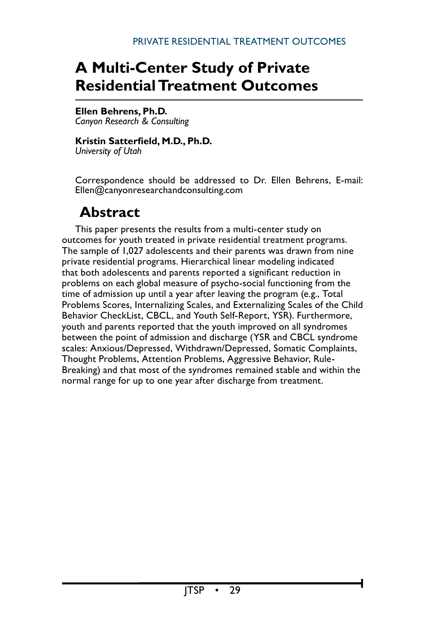# **A Multi-Center Study of Private Residential Treatment Outcomes**

# **Ellen Behrens, Ph.D.**

*Canyon Research & Consulting*

# **Kristin Satterfield, M.D., Ph.D.**

*University of Utah*

Correspondence should be addressed to Dr. Ellen Behrens, E-mail: Ellen@canyonresearchandconsulting.com

# **Abstract**

This paper presents the results from a multi-center study on outcomes for youth treated in private residential treatment programs. The sample of 1,027 adolescents and their parents was drawn from nine private residential programs. Hierarchical linear modeling indicated that both adolescents and parents reported a significant reduction in problems on each global measure of psycho-social functioning from the time of admission up until a year after leaving the program (e.g., Total Problems Scores, Internalizing Scales, and Externalizing Scales of the Child Behavior CheckList, CBCL, and Youth Self-Report, YSR). Furthermore, youth and parents reported that the youth improved on all syndromes between the point of admission and discharge (YSR and CBCL syndrome scales: Anxious/Depressed, Withdrawn/Depressed, Somatic Complaints, Thought Problems, Attention Problems, Aggressive Behavior, Rule-Breaking) and that most of the syndromes remained stable and within the normal range for up to one year after discharge from treatment.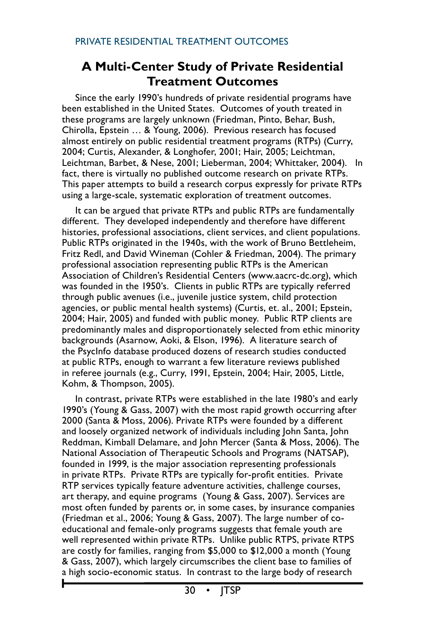# **A Multi-Center Study of Private Residential Treatment Outcomes**

Since the early 1990's hundreds of private residential programs have been established in the United States. Outcomes of youth treated in these programs are largely unknown (Friedman, Pinto, Behar, Bush, Chirolla, Epstein … & Young, 2006). Previous research has focused almost entirely on public residential treatment programs (RTPs) (Curry, 2004; Curtis, Alexander, & Longhofer, 2001; Hair, 2005; Leichtman, Leichtman, Barbet, & Nese, 2001; Lieberman, 2004; Whittaker, 2004). In fact, there is virtually no published outcome research on private RTPs. This paper attempts to build a research corpus expressly for private RTPs using a large-scale, systematic exploration of treatment outcomes.

It can be argued that private RTPs and public RTPs are fundamentally different. They developed independently and therefore have different histories, professional associations, client services, and client populations. Public RTPs originated in the 1940s, with the work of Bruno Bettleheim, Fritz Redl, and David Wineman (Cohler & Friedman, 2004). The primary professional association representing public RTPs is the American Association of Children's Residential Centers (www.aacrc-dc.org), which was founded in the 1950's. Clients in public RTPs are typically referred through public avenues (i.e., juvenile justice system, child protection agencies, or public mental health systems) (Curtis, et. al., 2001; Epstein, 2004; Hair, 2005) and funded with public money. Public RTP clients are predominantly males and disproportionately selected from ethic minority backgrounds (Asarnow, Aoki, & Elson, 1996). A literature search of the PsycInfo database produced dozens of research studies conducted at public RTPs, enough to warrant a few literature reviews published in referee journals (e.g., Curry, 1991, Epstein, 2004; Hair, 2005, Little, Kohm, & Thompson, 2005).

In contrast, private RTPs were established in the late 1980's and early 1990's (Young & Gass, 2007) with the most rapid growth occurring after 2000 (Santa & Moss, 2006). Private RTPs were founded by a different and loosely organized network of individuals including John Santa, John Reddman, Kimball Delamare, and John Mercer (Santa & Moss, 2006). The National Association of Therapeutic Schools and Programs (NATSAP), founded in 1999, is the major association representing professionals in private RTPs. Private RTPs are typically for-profit entities. Private RTP services typically feature adventure activities, challenge courses, art therapy, and equine programs (Young & Gass, 2007). Services are most often funded by parents or, in some cases, by insurance companies (Friedman et al., 2006; Young & Gass, 2007). The large number of coeducational and female-only programs suggests that female youth are well represented within private RTPs. Unlike public RTPS, private RTPS are costly for families, ranging from \$5,000 to \$12,000 a month (Young & Gass, 2007), which largely circumscribes the client base to families of a high socio-economic status. In contrast to the large body of research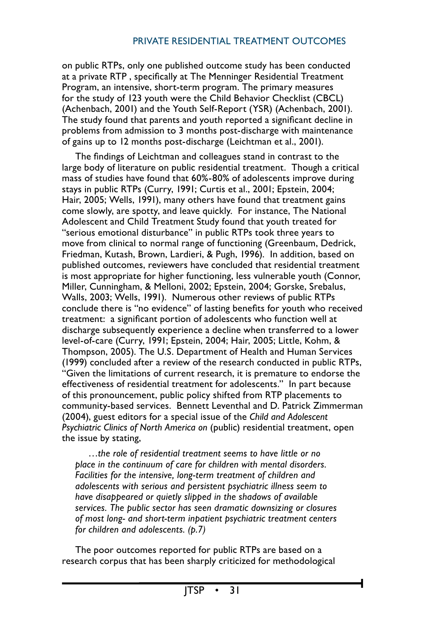on public RTPs, only one published outcome study has been conducted at a private RTP , specifically at The Menninger Residential Treatment Program, an intensive, short-term program. The primary measures for the study of 123 youth were the Child Behavior Checklist (CBCL) (Achenbach, 2001) and the Youth Self-Report (YSR) (Achenbach, 2001). The study found that parents and youth reported a significant decline in problems from admission to 3 months post-discharge with maintenance of gains up to 12 months post-discharge (Leichtman et al., 2001).

The findings of Leichtman and colleagues stand in contrast to the large body of literature on public residential treatment. Though a critical mass of studies have found that 60%-80% of adolescents improve during stays in public RTPs (Curry, 1991; Curtis et al., 2001; Epstein, 2004; Hair, 2005; Wells, 1991), many others have found that treatment gains come slowly, are spotty, and leave quickly. For instance, The National Adolescent and Child Treatment Study found that youth treated for "serious emotional disturbance" in public RTPs took three years to move from clinical to normal range of functioning (Greenbaum, Dedrick, Friedman, Kutash, Brown, Lardieri, & Pugh, 1996). In addition, based on published outcomes, reviewers have concluded that residential treatment is most appropriate for higher functioning, less vulnerable youth (Connor, Miller, Cunningham, & Melloni, 2002; Epstein, 2004; Gorske, Srebalus, Walls, 2003; Wells, 1991). Numerous other reviews of public RTPs conclude there is "no evidence" of lasting benefits for youth who received treatment: a significant portion of adolescents who function well at discharge subsequently experience a decline when transferred to a lower level-of-care (Curry, 1991; Epstein, 2004; Hair, 2005; Little, Kohm, & Thompson, 2005). The U.S. Department of Health and Human Services (1999) concluded after a review of the research conducted in public RTPs, "Given the limitations of current research, it is premature to endorse the effectiveness of residential treatment for adolescents." In part because of this pronouncement, public policy shifted from RTP placements to community-based services. Bennett Leventhal and D. Patrick Zimmerman (2004), guest editors for a special issue of the *Child and Adolescent Psychiatric Clinics of North America on* (public) residential treatment, open the issue by stating,

*…the role of residential treatment seems to have little or no place in the continuum of care for children with mental disorders. Facilities for the intensive, long-term treatment of children and adolescents with serious and persistent psychiatric illness seem to have disappeared or quietly slipped in the shadows of available services. The public sector has seen dramatic downsizing or closures of most long- and short-term inpatient psychiatric treatment centers for children and adolescents. (p.7)*

The poor outcomes reported for public RTPs are based on a research corpus that has been sharply criticized for methodological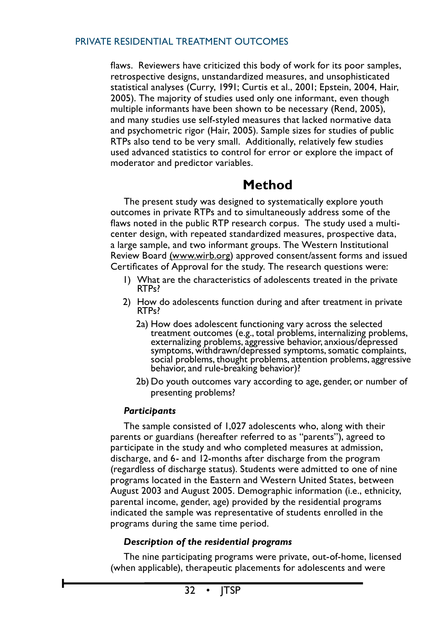flaws. Reviewers have criticized this body of work for its poor samples, retrospective designs, unstandardized measures, and unsophisticated statistical analyses (Curry, 1991; Curtis et al., 2001; Epstein, 2004, Hair, 2005). The majority of studies used only one informant, even though multiple informants have been shown to be necessary (Rend, 2005), and many studies use self-styled measures that lacked normative data and psychometric rigor (Hair, 2005). Sample sizes for studies of public RTPs also tend to be very small. Additionally, relatively few studies used advanced statistics to control for error or explore the impact of moderator and predictor variables.

# **Method**

The present study was designed to systematically explore youth outcomes in private RTPs and to simultaneously address some of the flaws noted in the public RTP research corpus. The study used a multicenter design, with repeated standardized measures, prospective data, a large sample, and two informant groups. The Western Institutional Review Board (www.wirb.org) approved consent/assent forms and issued Certificates of Approval for the study. The research questions were:

- 1) What are the characteristics of adolescents treated in the private RTPs?
- 2) How do adolescents function during and after treatment in private RTPs?
	- 2a) How does adolescent functioning vary across the selected treatment outcomes (e.g., total problems, internalizing problems, externalizing problems, aggressive behavior, anxious/depressed symptoms, withdrawn/depressed symptoms, somatic complaints, social problems, thought problems, attention problems, aggressive behavior, and rule-breaking behavior)?
	- 2b) Do youth outcomes vary according to age, gender, or number of presenting problems?

# *Participants*

The sample consisted of 1,027 adolescents who, along with their parents or guardians (hereafter referred to as "parents"), agreed to participate in the study and who completed measures at admission, discharge, and 6- and 12-months after discharge from the program (regardless of discharge status). Students were admitted to one of nine programs located in the Eastern and Western United States, between August 2003 and August 2005. Demographic information (i.e., ethnicity, parental income, gender, age) provided by the residential programs indicated the sample was representative of students enrolled in the programs during the same time period.

# *Description of the residential programs*

The nine participating programs were private, out-of-home, licensed (when applicable), therapeutic placements for adolescents and were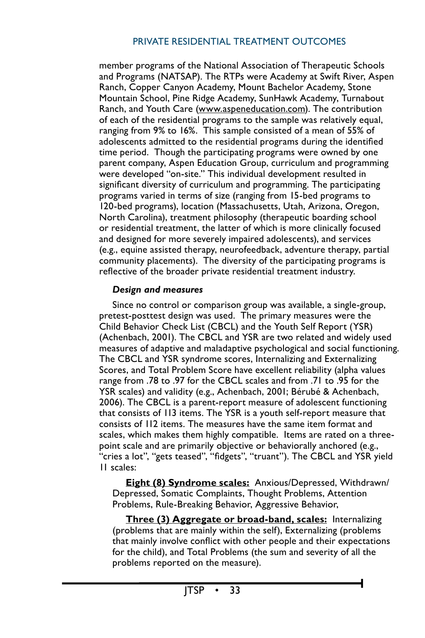member programs of the National Association of Therapeutic Schools and Programs (NATSAP). The RTPs were Academy at Swift River, Aspen Ranch, Copper Canyon Academy, Mount Bachelor Academy, Stone Mountain School, Pine Ridge Academy, SunHawk Academy, Turnabout Ranch, and Youth Care (www.aspeneducation.com). The contribution of each of the residential programs to the sample was relatively equal, ranging from 9% to 16%. This sample consisted of a mean of 55% of adolescents admitted to the residential programs during the identified time period. Though the participating programs were owned by one parent company, Aspen Education Group, curriculum and programming were developed "on-site." This individual development resulted in significant diversity of curriculum and programming. The participating programs varied in terms of size (ranging from 15-bed programs to 120-bed programs), location (Massachusetts, Utah, Arizona, Oregon, North Carolina), treatment philosophy (therapeutic boarding school or residential treatment, the latter of which is more clinically focused and designed for more severely impaired adolescents), and services (e.g., equine assisted therapy, neurofeedback, adventure therapy, partial community placements). The diversity of the participating programs is reflective of the broader private residential treatment industry.

# *Design and measures*

Since no control or comparison group was available, a single-group, pretest-posttest design was used. The primary measures were the Child Behavior Check List (CBCL) and the Youth Self Report (YSR) (Achenbach, 2001). The CBCL and YSR are two related and widely used measures of adaptive and maladaptive psychological and social functioning. The CBCL and YSR syndrome scores, Internalizing and Externalizing Scores, and Total Problem Score have excellent reliability (alpha values range from .78 to .97 for the CBCL scales and from .71 to .95 for the YSR scales) and validity (e.g., Achenbach, 2001; Bérubé & Achenbach, 2006). The CBCL is a parent-report measure of adolescent functioning that consists of 113 items. The YSR is a youth self-report measure that consists of 112 items. The measures have the same item format and scales, which makes them highly compatible. Items are rated on a threepoint scale and are primarily objective or behaviorally anchored (e.g., "cries a lot", "gets teased", "fidgets", "truant"). The CBCL and YSR yield 11 scales:

**Eight (8) Syndrome scales:** Anxious/Depressed, Withdrawn/ Depressed, Somatic Complaints, Thought Problems, Attention Problems, Rule-Breaking Behavior, Aggressive Behavior,

**Three (3) Aggregate or broad-band, scales:** Internalizing (problems that are mainly within the self), Externalizing (problems that mainly involve conflict with other people and their expectations for the child), and Total Problems (the sum and severity of all the problems reported on the measure).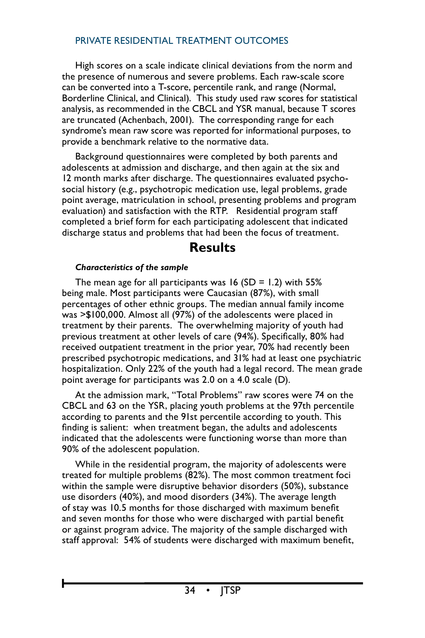High scores on a scale indicate clinical deviations from the norm and the presence of numerous and severe problems. Each raw-scale score can be converted into a T-score, percentile rank, and range (Normal, Borderline Clinical, and Clinical). This study used raw scores for statistical analysis, as recommended in the CBCL and YSR manual, because T scores are truncated (Achenbach, 2001). The corresponding range for each syndrome's mean raw score was reported for informational purposes, to provide a benchmark relative to the normative data.

Background questionnaires were completed by both parents and adolescents at admission and discharge, and then again at the six and 12 month marks after discharge. The questionnaires evaluated psychosocial history (e.g., psychotropic medication use, legal problems, grade point average, matriculation in school, presenting problems and program evaluation) and satisfaction with the RTP. Residential program staff completed a brief form for each participating adolescent that indicated discharge status and problems that had been the focus of treatment.

# **Results**

#### *Characteristics of the sample*

The mean age for all participants was  $16$  (SD = 1.2) with 55% being male. Most participants were Caucasian (87%), with small percentages of other ethnic groups. The median annual family income was >\$100,000. Almost all (97%) of the adolescents were placed in treatment by their parents. The overwhelming majority of youth had previous treatment at other levels of care (94%). Specifically, 80% had received outpatient treatment in the prior year, 70% had recently been prescribed psychotropic medications, and 31% had at least one psychiatric hospitalization. Only 22% of the youth had a legal record. The mean grade point average for participants was 2.0 on a 4.0 scale (D).

At the admission mark, "Total Problems" raw scores were 74 on the CBCL and 63 on the YSR, placing youth problems at the 97th percentile according to parents and the 91st percentile according to youth. This finding is salient: when treatment began, the adults and adolescents indicated that the adolescents were functioning worse than more than 90% of the adolescent population.

While in the residential program, the majority of adolescents were treated for multiple problems (82%). The most common treatment foci within the sample were disruptive behavior disorders (50%), substance use disorders (40%), and mood disorders (34%). The average length of stay was 10.5 months for those discharged with maximum benefit and seven months for those who were discharged with partial benefit or against program advice. The majority of the sample discharged with staff approval: 54% of students were discharged with maximum benefit,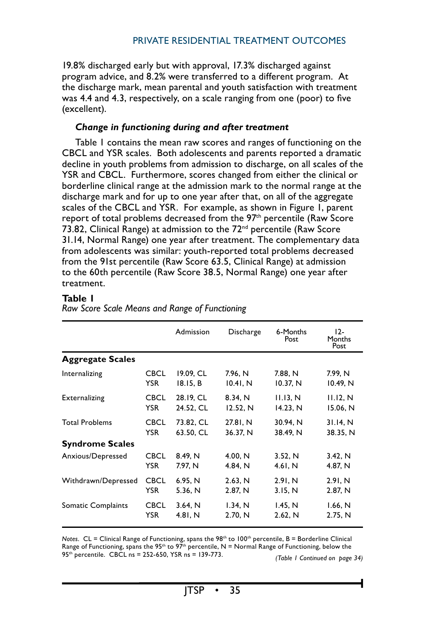19.8% discharged early but with approval, 17.3% discharged against program advice, and 8.2% were transferred to a different program. At the discharge mark, mean parental and youth satisfaction with treatment was 4.4 and 4.3, respectively, on a scale ranging from one (poor) to five (excellent).

#### *Change in functioning during and after treatment*

Table 1 contains the mean raw scores and ranges of functioning on the CBCL and YSR scales. Both adolescents and parents reported a dramatic decline in youth problems from admission to discharge, on all scales of the YSR and CBCL. Furthermore, scores changed from either the clinical or borderline clinical range at the admission mark to the normal range at the discharge mark and for up to one year after that, on all of the aggregate scales of the CBCL and YSR. For example, as shown in Figure 1, parent report of total problems decreased from the 97<sup>th</sup> percentile (Raw Score 73.82, Clinical Range) at admission to the 72<sup>nd</sup> percentile (Raw Score 31.14, Normal Range) one year after treatment. The complementary data from adolescents was similar: youth-reported total problems decreased from the 91st percentile (Raw Score 63.5, Clinical Range) at admission to the 60th percentile (Raw Score 38.5, Normal Range) one year after treatment.

#### **Table 1**

|                         |             | Admission | Discharge | 6-Months<br>Post | $12-$<br>Months<br>Post |
|-------------------------|-------------|-----------|-----------|------------------|-------------------------|
| <b>Aggregate Scales</b> |             |           |           |                  |                         |
| Internalizing           | <b>CBCL</b> | 19.09, CL | 7.96, N   | 7.88, N          | 7.99, N                 |
|                         | <b>YSR</b>  | 18.15, B  | 10.41, N  | 10.37, N         | 10.49, N                |
| Externalizing           | <b>CBCL</b> | 28.19, CL | 8.34, N   | 11.13, N         | 11.12, N                |
|                         | <b>YSR</b>  | 24.52, CL | 12.52, N  | 14.23, N         | 15.06, N                |
| <b>Total Problems</b>   | <b>CBCL</b> | 73.82, CL | 27.81, N  | 30.94, N         | 31.14, N                |
|                         | <b>YSR</b>  | 63.50, CL | 36.37, N  | 38.49, N         | 38.35, N                |
| <b>Syndrome Scales</b>  |             |           |           |                  |                         |
| Anxious/Depressed       | <b>CBCL</b> | 8.49, N   | 4.00. N   | 3.52, N          | 3.42, N                 |
|                         | <b>YSR</b>  | 7.97, N   | 4.84, N   | 4.61, N          | 4.87, N                 |
| Withdrawn/Depressed     | <b>CBCL</b> | 6.95, N   | 2.63, N   | 2.91, N          | 2.91, N                 |
|                         | <b>YSR</b>  | 5.36, N   | 2.87, N   | 3.15, N          | 2.87, N                 |
| Somatic Complaints      | <b>CBCL</b> | 3.64, N   | 1.34, N   | 1.45, N          | 1.66, N                 |
|                         | <b>YSR</b>  | 4.81, N   | 2.70, N   | 2.62, N          | 2.75, N                 |

*Raw Score Scale Means and Range of Functioning*

*Notes.* CL = Clinical Range of Functioning, spans the 98<sup>th</sup> to 100<sup>th</sup> percentile, B = Borderline Clinical Range of Functioning, spans the 95<sup>th</sup> to 97<sup>th</sup> percentile, N = Normal Range of Functioning, below the <sup>95</sup>th percentile. CBCL ns <sup>=</sup> 252-650, YSR ns <sup>=</sup> 139-773. *(Table 1 Continued on page 34)*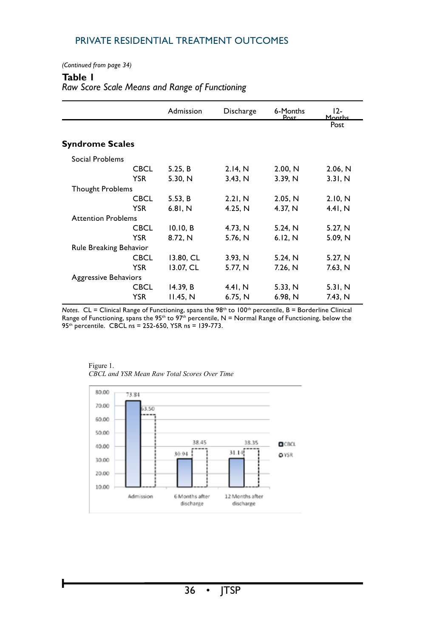*(Continued from page 34)*

#### **Table 1**

#### *Raw Score Scale Means and Range of Functioning*

|                             |             | Admission | Discharge | 6-Months<br>Post | $12-$<br>Months |
|-----------------------------|-------------|-----------|-----------|------------------|-----------------|
|                             |             |           |           |                  | Post            |
| <b>Syndrome Scales</b>      |             |           |           |                  |                 |
| Social Problems             |             |           |           |                  |                 |
|                             | <b>CBCL</b> | 5.25, B   | 2.14, N   | 2.00, N          | 2.06, N         |
|                             | <b>YSR</b>  | 5.30, N   | 3.43, N   | 3.39, N          | 3.31, N         |
| <b>Thought Problems</b>     |             |           |           |                  |                 |
|                             | <b>CBCL</b> | 5.53, B   | 2.21, N   | 2.05, N          | 2.10, N         |
|                             | <b>YSR</b>  | 6.81, N   | 4.25, N   | 4.37, N          | 4.41. N         |
| <b>Attention Problems</b>   |             |           |           |                  |                 |
|                             | <b>CBCL</b> | 10.10, B  | 4.73, N   | 5.24, N          | 5.27, N         |
|                             | <b>YSR</b>  | 8.72, N   | 5.76, N   | 6.12, N          | 5.09, N         |
| Rule Breaking Behavior      |             |           |           |                  |                 |
|                             | <b>CBCL</b> | 13.80, CL | 3.93, N   | 5.24, N          | 5.27, N         |
|                             | <b>YSR</b>  | 13.07, CL | 5.77, N   | 7.26, N          | 7.63, N         |
| <b>Aggressive Behaviors</b> |             |           |           |                  |                 |
|                             | <b>CBCL</b> | 14.39, B  | 4.41, N   | 5.33, N          | 5.31, N         |
|                             | <b>YSR</b>  | 11.45, N  | 6.75, N   | 6.98, N          | 7.43, N         |

Private Residential Outcomes, p. 23 *Notes*. CL = Clinical Range of Functioning, spans the 98th to 100th percentile, B = Borderline Clinical Range of Functioning, spans the 95<sup>th</sup> to 97<sup>th</sup> percentile, N = Normal Range of Functioning, below the 95th percentile. CBCL ns = 252-650, YSR ns = 139-773.



Figure 1. *CBCL and YSR Mean Raw Total Scores Over Time*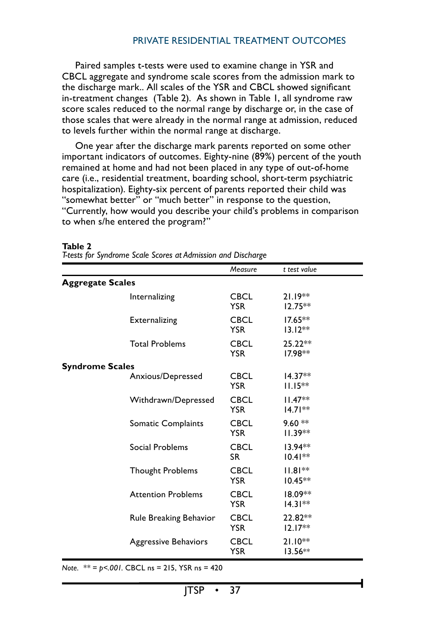Paired samples t-tests were used to examine change in YSR and CBCL aggregate and syndrome scale scores from the admission mark to the discharge mark.. All scales of the YSR and CBCL showed significant in-treatment changes (Table 2). As shown in Table 1, all syndrome raw score scales reduced to the normal range by discharge or, in the case of those scales that were already in the normal range at admission, reduced to levels further within the normal range at discharge.

One year after the discharge mark parents reported on some other important indicators of outcomes. Eighty-nine (89%) percent of the youth remained at home and had not been placed in any type of out-of-home care (i.e., residential treatment, boarding school, short-term psychiatric hospitalization). Eighty-six percent of parents reported their child was "somewhat better" or "much better" in response to the question, "Currently, how would you describe your child's problems in comparison to when s/he entered the program?"

|                         |                             | Measure                   | t test value            |
|-------------------------|-----------------------------|---------------------------|-------------------------|
| <b>Aggregate Scales</b> |                             |                           |                         |
|                         | Internalizing               | <b>CBCL</b><br><b>YSR</b> | $21.19**$<br>$12.75**$  |
|                         | Externalizing               | <b>CBCL</b><br><b>YSR</b> | $17.65**$<br>$13.12**$  |
|                         | <b>Total Problems</b>       | <b>CBCL</b><br><b>YSR</b> | 25.22**<br>$17.98**$    |
| <b>Syndrome Scales</b>  |                             |                           |                         |
|                         | Anxious/Depressed           | <b>CBCL</b><br><b>YSR</b> | $14.37**$<br>$11.15***$ |
|                         | Withdrawn/Depressed         | <b>CBCL</b><br><b>YSR</b> | $11.47**$<br>$14.71**$  |
|                         | Somatic Complaints          | <b>CBCL</b><br><b>YSR</b> | $9.60**$<br>$11.39**$   |
|                         | Social Problems             | <b>CBCL</b><br><b>SR</b>  | 13.94**<br>$10.41**$    |
|                         | <b>Thought Problems</b>     | <b>CBCL</b><br><b>YSR</b> | $11.81**$<br>$10.45**$  |
|                         | <b>Attention Problems</b>   | <b>CBCL</b><br><b>YSR</b> | 18.09**<br>$14.31**$    |
|                         | Rule Breaking Behavior      | <b>CBCL</b><br><b>YSR</b> | 22.82**<br>$12.17**$    |
|                         | <b>Aggressive Behaviors</b> | <b>CBCL</b><br><b>YSR</b> | $21.10**$<br>$13.56**$  |

#### **Table 2**

*T-tests for Syndrome Scale Scores at Admission and Discharge*

*Note. \*\* = p<.001.* CBCL ns = 215, YSR ns = 420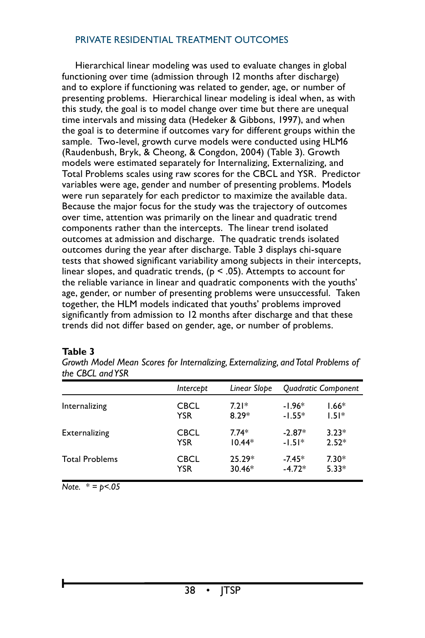Hierarchical linear modeling was used to evaluate changes in global functioning over time (admission through 12 months after discharge) and to explore if functioning was related to gender, age, or number of presenting problems. Hierarchical linear modeling is ideal when, as with this study, the goal is to model change over time but there are unequal time intervals and missing data (Hedeker & Gibbons, 1997), and when the goal is to determine if outcomes vary for different groups within the sample. Two-level, growth curve models were conducted using HLM6 (Raudenbush, Bryk, & Cheong, & Congdon, 2004) (Table 3). Growth models were estimated separately for Internalizing, Externalizing, and Total Problems scales using raw scores for the CBCL and YSR. Predictor variables were age, gender and number of presenting problems. Models were run separately for each predictor to maximize the available data. Because the major focus for the study was the trajectory of outcomes over time, attention was primarily on the linear and quadratic trend components rather than the intercepts. The linear trend isolated outcomes at admission and discharge. The quadratic trends isolated outcomes during the year after discharge. Table 3 displays chi-square tests that showed significant variability among subjects in their intercepts, linear slopes, and quadratic trends, ( $p \le 0.05$ ). Attempts to account for the reliable variance in linear and quadratic components with the youths' age, gender, or number of presenting problems were unsuccessful. Taken together, the HLM models indicated that youths' problems improved significantly from admission to 12 months after discharge and that these trends did not differ based on gender, age, or number of problems.

| uit CDCL und ich      |             |              |                     |         |
|-----------------------|-------------|--------------|---------------------|---------|
|                       | Intercept   | Linear Slope | Quadratic Component |         |
| Internalizing         | CBCL        | $7.21*$      | $-1.96*$            | $1.66*$ |
|                       | YSR         | $8.29*$      | $-1.55*$            | $1.51*$ |
| <b>Externalizing</b>  | <b>CBCL</b> | $7.74*$      | $-2.87*$            | $3.23*$ |
|                       | YSR         | $10.44*$     | $-1.51*$            | $2.52*$ |
| <b>Total Problems</b> | <b>CBCL</b> | $25.29*$     | $-7.45*$            | $7.30*$ |
|                       | YSR         | $30.46*$     | $-4.72*$            | $5.33*$ |

#### **Table 3**

*Growth Model Mean Scores for Internalizing, Externalizing, and Total Problems of the CBCL and YSR*

*Note. \* = p<.05*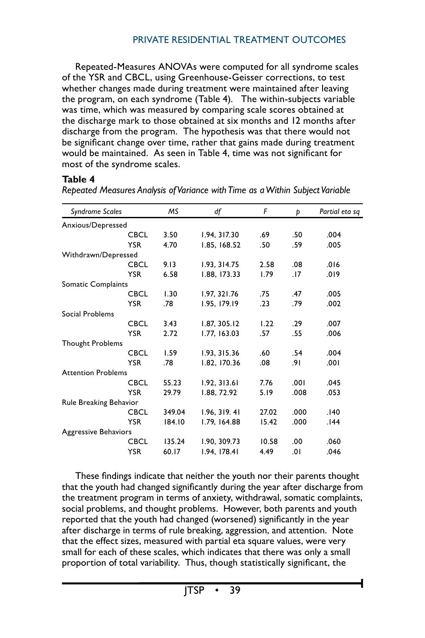Repeated-Measures ANOVAs were computed for all syndrome scales of the YSR and CBCL, using Greenhouse-Geisser corrections, to test whether changes made during treatment were maintained after leaving the program, on each syndrome (Table 4). The within-subjects variable was time, which was measured by comparing scale scores obtained at the discharge mark to those obtained at six months and 12 months after discharge from the program. The hypothesis was that there would not be significant change over time, rather that gains made during treatment would be maintained. As seen in Table 4, time was not significant for most of the syndrome scales.

#### **Table 4**

| Syndrome Scales           |             | MS     | df            | F     | Þ    | Partial eta sq |
|---------------------------|-------------|--------|---------------|-------|------|----------------|
| Anxious/Depressed         |             |        |               |       |      |                |
|                           | <b>CBCL</b> | 3.50   | 1.94, 317.30  | .69   | .50  | .004           |
|                           | <b>YSR</b>  | 4.70   | 1.85, 168.52  | .50   | .59  | .005           |
| Withdrawn/Depressed       |             |        |               |       |      |                |
|                           | <b>CBCL</b> | 9.13   | 1.93, 314.75  | 2.58  | .08  | .016           |
|                           | <b>YSR</b>  | 6.58   | 1.88, 173.33  | 1.79  | .17  | .019           |
| Somatic Complaints        |             |        |               |       |      |                |
|                           | <b>CBCL</b> | 1.30   | 1.97, 321.76  | .75   | .47  | .005           |
|                           | <b>YSR</b>  | .78    | 1.95, 179.19  | .23   | .79  | .002           |
| Social Problems           |             |        |               |       |      |                |
|                           | <b>CBCL</b> | 3.43   | 1.87, 305.12  | 1.22  | .29  | .007           |
|                           | <b>YSR</b>  | 2.72   | 1.77, 163.03  | .57   | .55  | .006           |
| <b>Thought Problems</b>   |             |        |               |       |      |                |
|                           | <b>CBCL</b> | 1.59   | 1.93, 315.36  | .60   | .54  | .004           |
|                           | <b>YSR</b>  | .78    | 1.82, 170.36  | .08   | .91  | .001           |
| <b>Attention Problems</b> |             |        |               |       |      |                |
|                           | <b>CBCL</b> | 55.23  | 1.92, 313.61  | 7.76  | .001 | .045           |
|                           | <b>YSR</b>  | 29.79  | 1.88, 72.92   | 5.19  | .008 | .053           |
| Rule Breaking Behavior    |             |        |               |       |      |                |
|                           | <b>CBCL</b> | 349.04 | 1.96, 319, 41 | 27.02 | .000 | .140           |
|                           | <b>YSR</b>  | 184.10 | 1.79, 164.88  | 15.42 | .000 | 144.           |
| Aggressive Behaviors      |             |        |               |       |      |                |
|                           | <b>CBCL</b> | 135.24 | 1.90, 309.73  | 10.58 | .00  | .060           |
|                           | <b>YSR</b>  | 60.17  | 1.94, 178.41  | 4.49  | 0١.  | .046           |
|                           |             |        |               |       |      |                |

*Repeated Measures Analysis of Variance with Time as a Within Subject Variable*

These findings indicate that neither the youth nor their parents thought that the youth had changed significantly during the year after discharge from the treatment program in terms of anxiety, withdrawal, somatic complaints, social problems, and thought problems. However, both parents and youth reported that the youth had changed (worsened) significantly in the year after discharge in terms of rule breaking, aggression, and attention. Note that the effect sizes, measured with partial eta square values, were very small for each of these scales, which indicates that there was only a small proportion of total variability. Thus, though statistically significant, the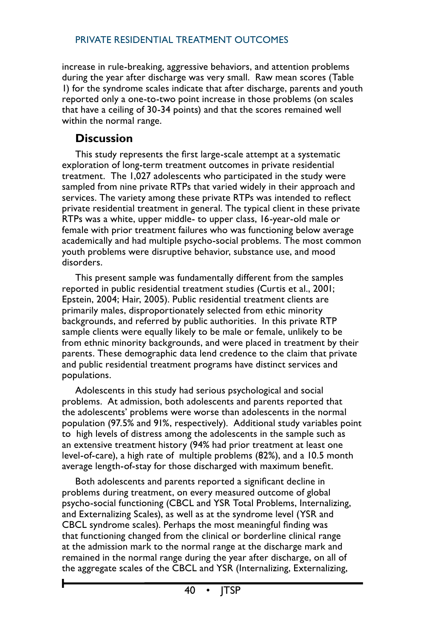increase in rule-breaking, aggressive behaviors, and attention problems during the year after discharge was very small. Raw mean scores (Table 1) for the syndrome scales indicate that after discharge, parents and youth reported only a one-to-two point increase in those problems (on scales that have a ceiling of 30-34 points) and that the scores remained well within the normal range.

# **Discussion**

This study represents the first large-scale attempt at a systematic exploration of long-term treatment outcomes in private residential treatment. The 1,027 adolescents who participated in the study were sampled from nine private RTPs that varied widely in their approach and services. The variety among these private RTPs was intended to reflect private residential treatment in general. The typical client in these private RTPs was a white, upper middle- to upper class, 16-year-old male or female with prior treatment failures who was functioning below average academically and had multiple psycho-social problems. The most common youth problems were disruptive behavior, substance use, and mood disorders.

This present sample was fundamentally different from the samples reported in public residential treatment studies (Curtis et al., 2001; Epstein, 2004; Hair, 2005). Public residential treatment clients are primarily males, disproportionately selected from ethic minority backgrounds, and referred by public authorities. In this private RTP sample clients were equally likely to be male or female, unlikely to be from ethnic minority backgrounds, and were placed in treatment by their parents. These demographic data lend credence to the claim that private and public residential treatment programs have distinct services and populations.

Adolescents in this study had serious psychological and social problems. At admission, both adolescents and parents reported that the adolescents' problems were worse than adolescents in the normal population (97.5% and 91%, respectively). Additional study variables point to high levels of distress among the adolescents in the sample such as an extensive treatment history (94% had prior treatment at least one level-of-care), a high rate of multiple problems (82%), and a 10.5 month average length-of-stay for those discharged with maximum benefit.

Both adolescents and parents reported a significant decline in problems during treatment, on every measured outcome of global psycho-social functioning (CBCL and YSR Total Problems, Internalizing, and Externalizing Scales), as well as at the syndrome level (YSR and CBCL syndrome scales). Perhaps the most meaningful finding was that functioning changed from the clinical or borderline clinical range at the admission mark to the normal range at the discharge mark and remained in the normal range during the year after discharge, on all of the aggregate scales of the CBCL and YSR (Internalizing, Externalizing,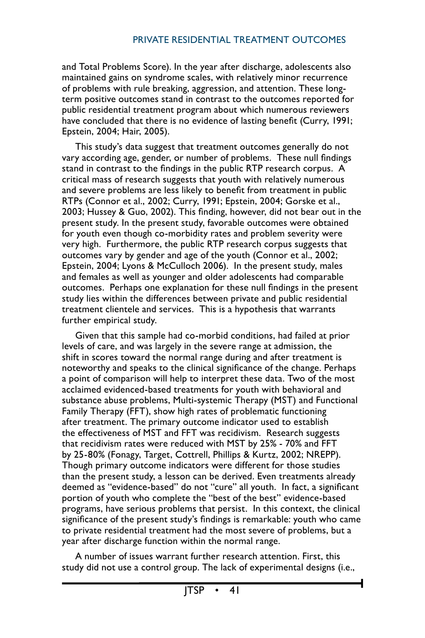and Total Problems Score). In the year after discharge, adolescents also maintained gains on syndrome scales, with relatively minor recurrence of problems with rule breaking, aggression, and attention. These longterm positive outcomes stand in contrast to the outcomes reported for public residential treatment program about which numerous reviewers have concluded that there is no evidence of lasting benefit (Curry, 1991; Epstein, 2004; Hair, 2005).

This study's data suggest that treatment outcomes generally do not vary according age, gender, or number of problems. These null findings stand in contrast to the findings in the public RTP research corpus. A critical mass of research suggests that youth with relatively numerous and severe problems are less likely to benefit from treatment in public RTPs (Connor et al., 2002; Curry, 1991; Epstein, 2004; Gorske et al., 2003; Hussey & Guo, 2002). This finding, however, did not bear out in the present study. In the present study, favorable outcomes were obtained for youth even though co-morbidity rates and problem severity were very high. Furthermore, the public RTP research corpus suggests that outcomes vary by gender and age of the youth (Connor et al., 2002; Epstein, 2004; Lyons & McCulloch 2006). In the present study, males and females as well as younger and older adolescents had comparable outcomes. Perhaps one explanation for these null findings in the present study lies within the differences between private and public residential treatment clientele and services. This is a hypothesis that warrants further empirical study.

Given that this sample had co-morbid conditions, had failed at prior levels of care, and was largely in the severe range at admission, the shift in scores toward the normal range during and after treatment is noteworthy and speaks to the clinical significance of the change. Perhaps a point of comparison will help to interpret these data. Two of the most acclaimed evidenced-based treatments for youth with behavioral and substance abuse problems, Multi-systemic Therapy (MST) and Functional Family Therapy (FFT), show high rates of problematic functioning after treatment. The primary outcome indicator used to establish the effectiveness of MST and FFT was recidivism. Research suggests that recidivism rates were reduced with MST by 25% - 70% and FFT by 25-80% (Fonagy, Target, Cottrell, Phillips & Kurtz, 2002; NREPP). Though primary outcome indicators were different for those studies than the present study, a lesson can be derived. Even treatments already deemed as "evidence-based" do not "cure" all youth. In fact, a significant portion of youth who complete the "best of the best" evidence-based programs, have serious problems that persist. In this context, the clinical significance of the present study's findings is remarkable: youth who came to private residential treatment had the most severe of problems, but a year after discharge function within the normal range.

A number of issues warrant further research attention. First, this study did not use a control group. The lack of experimental designs (i.e.,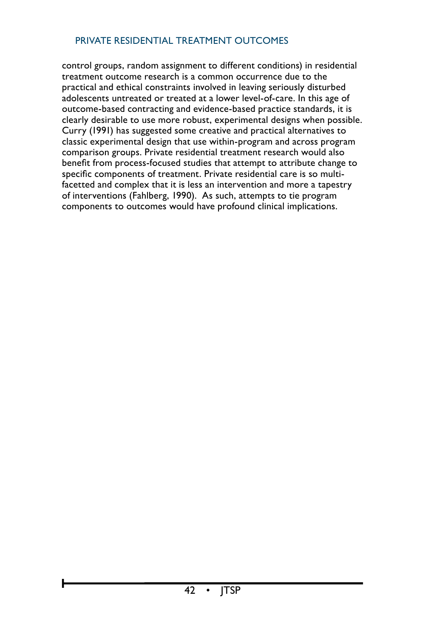control groups, random assignment to different conditions) in residential treatment outcome research is a common occurrence due to the practical and ethical constraints involved in leaving seriously disturbed adolescents untreated or treated at a lower level-of-care. In this age of outcome-based contracting and evidence-based practice standards, it is clearly desirable to use more robust, experimental designs when possible. Curry (1991) has suggested some creative and practical alternatives to classic experimental design that use within-program and across program comparison groups. Private residential treatment research would also benefit from process-focused studies that attempt to attribute change to specific components of treatment. Private residential care is so multifacetted and complex that it is less an intervention and more a tapestry of interventions (Fahlberg, 1990). As such, attempts to tie program components to outcomes would have profound clinical implications.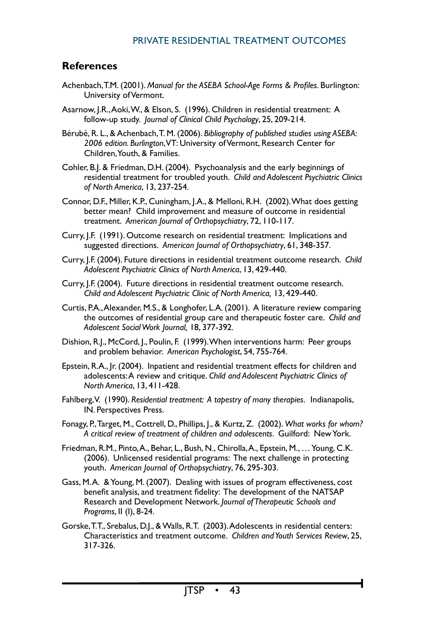# **References**

- Achenbach,T.M. (2001). *Manual for the ASEBA School-Age Forms & Profiles*. Burlington: University of Vermont.
- Asarnow, J.R.,Aoki,W., & Elson, S. (1996). Children in residential treatment: A follow-up study. *Journal of Clinical Child Psychology*, 25, 209-214.
- Bérubé, R. L., & Achenbach,T. M. (2006). *Bibliography of published studies using ASEBA: 2006 edition. Burlington*, VT: University of Vermont, Research Center for Children, Youth, & Families.
- Cohler, B.J. & Friedman, D.H. (2004). Psychoanalysis and the early beginnings of residential treatment for troubled youth. *Child and Adolescent Psychiatric Clinics of North America*, 13, 237-254.
- Connor, D.F., Miller, K.P., Cuningham, J.A., & Melloni, R.H. (2002).What does getting better mean? Child improvement and measure of outcome in residential treatment. *American Journal of Orthopsychiatry*, 72, 110-117.
- Curry, J.F. (1991). Outcome research on residential treatment: Implications and suggested directions. *American Journal of Orthopsychiatry*, 61, 348-357.
- Curry, J.F. (2004). Future directions in residential treatment outcome research. *Child Adolescent Psychiatric Clinics of North America*, 13, 429-440.
- Curry, J.F. (2004). Future directions in residential treatment outcome research. *Child and Adolescent Psychiatric Clinic of North America,* 13, 429-440.
- Curtis, P.A.,Alexander, M.S., & Longhofer, L.A. (2001). A literature review comparing the outcomes of residential group care and therapeutic foster care. *Child and Adolescent Social Work Journal,* 18, 377-392.
- Dishion, R.J., McCord, J., Poulin, F. (1999).When interventions harm: Peer groups and problem behavior. *American Psychologist*, 54, 755-764.
- Epstein, R.A., Jr. (2004). Inpatient and residential treatment effects for children and adolescents:A review and critique. *Child and Adolescent Psychiatric Clinics of North America*, 13, 411-428.
- Fahlberg,V. (1990). *Residential treatment: A tapestry of many therapies.* Indianapolis, IN. Perspectives Press.
- Fonagy, P.,Target, M., Cottrell, D., Phillips, J., & Kurtz, Z. (2002). *What works for whom? A critical review of treatment of children and adolescents*. Guilford: NewYork.
- Friedman, R.M., Pinto, A., Behar, L., Bush, N., Chirolla, A., Epstein, M., … Young, C.K. (2006). Unlicensed residential programs: The next challenge in protecting youth. *American Journal of Orthopsychiatry*, 76, 295-303.
- Gass, M.A. & Young, M. (2007). Dealing with issues of program effectiveness, cost benefit analysis, and treatment fidelity: The development of the NATSAP Research and Development Network. *Journal of Therapeutic Schools and Programs*, II (I), 8-24.
- Gorske, T.T., Srebalus, D.J., & Walls, R.T. (2003). Adolescents in residential centers: Characteristics and treatment outcome. *Children and Youth Services Review*, 25, 317-326.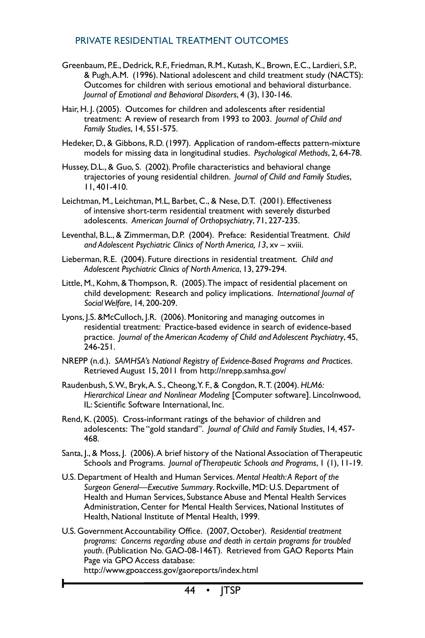- Greenbaum, P.E., Dedrick, R.F., Friedman, R.M., Kutash, K., Brown, E.C., Lardieri, S.P., & Pugh,A.M. (1996). National adolescent and child treatment study (NACTS): Outcomes for children with serious emotional and behavioral disturbance. *Journal of Emotional and Behavioral Disorders*, 4 (3), 130-146.
- Hair, H. J. (2005). Outcomes for children and adolescents after residential treatment: A review of research from 1993 to 2003. *Journal of Child and Family Studies*, 14, 551-575.
- Hedeker, D., & Gibbons, R.D. (1997). Application of random-effects pattern-mixture models for missing data in longitudinal studies. *Psychological Methods*, 2, 64-78.
- Hussey, D.L., & Guo, S. (2002). Profile characteristics and behavioral change trajectories of young residential children. *Journal of Child and Family Studies*, 11, 401-410.
- Leichtman, M., Leichtman, M.L, Barbet, C., & Nese, D.T. (2001). Effectiveness of intensive short-term residential treatment with severely disturbed adolescents. *American Journal of Orthopsychiatry*, 71, 227-235.
- Leventhal, B.L., & Zimmerman, D.P. (2004). Preface: Residential Treatment. *Child and Adolescent Psychiatric Clinics of North America, 13*, xv – xviii.
- Lieberman, R.E. (2004). Future directions in residential treatment. *Child and Adolescent Psychiatric Clinics of North America*, 13, 279-294.
- Little, M., Kohm, & Thompson, R. (2005). The impact of residential placement on child development: Research and policy implications. *International Journal of Social Welfare*, 14, 200-209.
- Lyons, J.S. &McCulloch, J.R. (2006). Monitoring and managing outcomes in residential treatment: Practice-based evidence in search of evidence-based practice. *Journal of the American Academy of Child and Adolescent Psychiatry*, 45, 246-251.
- NREPP (n.d.). *SAMHSA's National Registry of Evidence-Based Programs and Practices*. Retrieved August 15, 2011 from http://nrepp.samhsa.gov/
- Raudenbush, S.W., Bryk,A. S., Cheong,Y. F., & Congdon, R.T. (2004). *HLM6: Hierarchical Linear and Nonlinear Modeling* [Computer software]. Lincolnwood, IL: Scientific Software International, Inc.
- Rend, K. (2005). Cross-informant ratings of the behavior of children and adolescents: The "gold standard". *Journal of Child and Family Studies*, 14, 457- 468.
- Santa, J., & Moss, J. (2006).A brief history of the National Association of Therapeutic Schools and Programs. *Journal of Therapeutic Schools and Programs*, 1 (1), 11-19.
- U.S. Department of Health and Human Services. *Mental Health: A Report of the Surgeon General—Executive Summary*. Rockville, MD: U.S. Department of Health and Human Services, Substance Abuse and Mental Health Services Administration, Center for Mental Health Services, National Institutes of Health, National Institute of Mental Health, 1999.
- U.S. Government Accountability Office. (2007, October). *Residential treatment programs: Concerns regarding abuse and death in certain programs for troubled youth*. (Publication No. GAO-08-146T). Retrieved from GAO Reports Main Page via GPO Access database: http://www.gpoaccess.gov/gaoreports/index.html